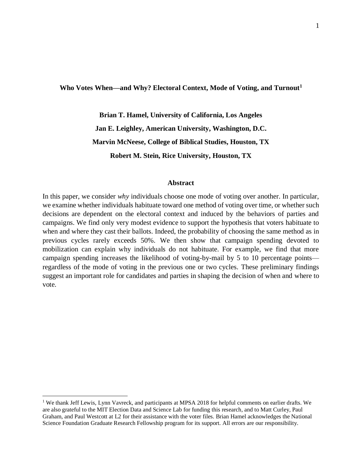## **Who Votes When—and Why? Electoral Context, Mode of Voting, and Turnout<sup>1</sup>**

**Brian T. Hamel, University of California, Los Angeles Jan E. Leighley, American University, Washington, D.C. Marvin McNeese, College of Biblical Studies, Houston, TX Robert M. Stein, Rice University, Houston, TX**

### **Abstract**

In this paper, we consider *why* individuals choose one mode of voting over another. In particular, we examine whether individuals habituate toward one method of voting over time, or whether such decisions are dependent on the electoral context and induced by the behaviors of parties and campaigns. We find only very modest evidence to support the hypothesis that voters habituate to when and where they cast their ballots. Indeed, the probability of choosing the same method as in previous cycles rarely exceeds 50%. We then show that campaign spending devoted to mobilization can explain why individuals do not habituate. For example, we find that more campaign spending increases the likelihood of voting-by-mail by 5 to 10 percentage points regardless of the mode of voting in the previous one or two cycles. These preliminary findings suggest an important role for candidates and parties in shaping the decision of when and where to vote.

 $\overline{\phantom{0}}$ 

<sup>&</sup>lt;sup>1</sup> We thank Jeff Lewis, Lynn Vavreck, and participants at MPSA 2018 for helpful comments on earlier drafts. We are also grateful to the MIT Election Data and Science Lab for funding this research, and to Matt Curley, Paul Graham, and Paul Westcott at L2 for their assistance with the voter files. Brian Hamel acknowledges the National Science Foundation Graduate Research Fellowship program for its support. All errors are our responsibility.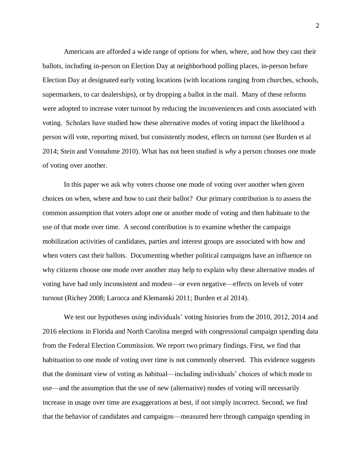Americans are afforded a wide range of options for when, where, and how they cast their ballots, including in-person on Election Day at neighborhood polling places, in-person before Election Day at designated early voting locations (with locations ranging from churches, schools, supermarkets, to car dealerships), or by dropping a ballot in the mail. Many of these reforms were adopted to increase voter turnout by reducing the inconveniences and costs associated with voting. Scholars have studied how these alternative modes of voting impact the likelihood a person will vote, reporting mixed, but consistently modest, effects on turnout (see Burden et al 2014; Stein and Vonnahme 2010). What has not been studied is *why* a person chooses one mode of voting over another.

In this paper we ask why voters choose one mode of voting over another when given choices on when, where and how to cast their ballot? Our primary contribution is to assess the common assumption that voters adopt one or another mode of voting and then habituate to the use of that mode over time. A second contribution is to examine whether the campaign mobilization activities of candidates, parties and interest groups are associated with how and when voters cast their ballots. Documenting whether political campaigns have an influence on why citizens choose one mode over another may help to explain why these alternative modes of voting have had only inconsistent and modest—or even negative—effects on levels of voter turnout (Richey 2008; Larocca and Klemanski 2011; Burden et al 2014).

We test our hypotheses using individuals' voting histories from the 2010, 2012, 2014 and 2016 elections in Florida and North Carolina merged with congressional campaign spending data from the Federal Election Commission. We report two primary findings. First, we find that habituation to one mode of voting over time is not commonly observed. This evidence suggests that the dominant view of voting as habitual—including individuals' choices of which mode to use—and the assumption that the use of new (alternative) modes of voting will necessarily increase in usage over time are exaggerations at best, if not simply incorrect. Second, we find that the behavior of candidates and campaigns—measured here through campaign spending in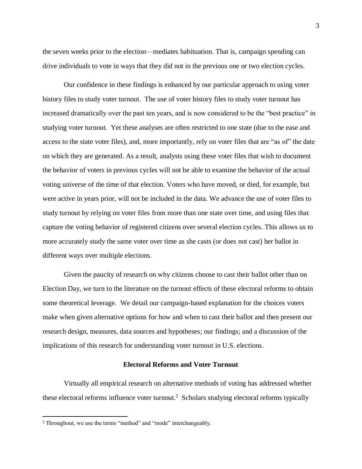the seven weeks prior to the election—mediates habituation. That is, campaign spending can drive individuals to vote in ways that they did not in the previous one or two election cycles.

Our confidence in these findings is enhanced by our particular approach to using voter history files to study voter turnout. The use of voter history files to study voter turnout has increased dramatically over the past ten years, and is now considered to be the "best practice" in studying voter turnout. Yet these analyses are often restricted to one state (due to the ease and access to the state voter files), and, more importantly, rely on voter files that are "as of" the date on which they are generated. As a result, analysts using these voter files that wish to document the behavior of voters in previous cycles will not be able to examine the behavior of the actual voting universe of the time of that election. Voters who have moved, or died, for example, but were active in years prior, will not be included in the data. We advance the use of voter files to study turnout by relying on voter files from more than one state over time, and using files that capture the voting behavior of registered citizens over several election cycles. This allows us to more accurately study the same voter over time as she casts (or does not cast) her ballot in different ways over multiple elections.

Given the paucity of research on why citizens choose to cast their ballot other than on Election Day, we turn to the literature on the turnout effects of these electoral reforms to obtain some theoretical leverage. We detail our campaign-based explanation for the choices voters make when given alternative options for how and when to cast their ballot and then present our research design, measures, data sources and hypotheses; our findings; and a discussion of the implications of this research for understanding voter turnout in U.S. elections.

## **Electoral Reforms and Voter Turnout**

Virtually all empirical research on alternative methods of voting has addressed whether these electoral reforms influence voter turnout. <sup>2</sup> Scholars studying electoral reforms typically

l

<sup>&</sup>lt;sup>2</sup> Throughout, we use the terms "method" and "mode" interchangeably.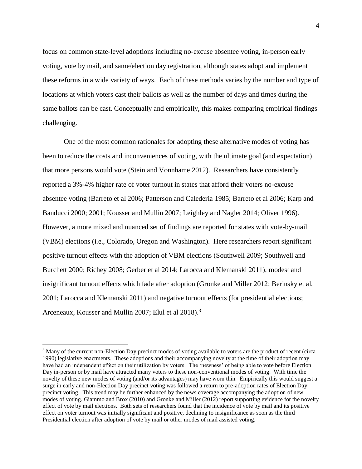focus on common state-level adoptions including no-excuse absentee voting, in-person early voting, vote by mail, and same/election day registration, although states adopt and implement these reforms in a wide variety of ways. Each of these methods varies by the number and type of locations at which voters cast their ballots as well as the number of days and times during the same ballots can be cast. Conceptually and empirically, this makes comparing empirical findings challenging.

One of the most common rationales for adopting these alternative modes of voting has been to reduce the costs and inconveniences of voting, with the ultimate goal (and expectation) that more persons would vote (Stein and Vonnhame 2012). Researchers have consistently reported a 3%-4% higher rate of voter turnout in states that afford their voters no-excuse absentee voting (Barreto et al 2006; Patterson and Calederia 1985; Barreto et al 2006; Karp and Banducci 2000; 2001; Kousser and Mullin 2007; Leighley and Nagler 2014; Oliver 1996). However, a more mixed and nuanced set of findings are reported for states with vote-by-mail (VBM) elections (i.e., Colorado, Oregon and Washington). Here researchers report significant positive turnout effects with the adoption of VBM elections (Southwell 2009; Southwell and Burchett 2000; Richey 2008; Gerber et al 2014; Larocca and Klemanski 2011), modest and insignificant turnout effects which fade after adoption (Gronke and Miller 2012; Berinsky et al. 2001; Larocca and Klemanski 2011) and negative turnout effects (for presidential elections; Arceneaux, Kousser and Mullin 2007; Elul et al 2018).<sup>3</sup>

l

<sup>3</sup> Many of the current non-Election Day precinct modes of voting available to voters are the product of recent (circa 1990) legislative enactments. These adoptions and their accompanying novelty at the time of their adoption may have had an independent effect on their utilization by voters. The 'newness' of being able to vote before Election Day in-person or by mail have attracted many voters to these non-conventional modes of voting. With time the novelty of these new modes of voting (and/or its advantages) may have worn thin. Empirically this would suggest a surge in early and non-Election Day precinct voting was followed a return to pre-adoption rates of Election Day precinct voting. This trend may be further enhanced by the news coverage accompanying the adoption of new modes of voting. Giammo and Brox (2010) and Gronke and Miller (2012) report supporting evidence for the novelty effect of vote by mail elections. Both sets of researchers found that the incidence of vote by mail and its positive effect on voter turnout was initially significant and positive, declining to insignificance as soon as the third Presidential election after adoption of vote by mail or other modes of mail assisted voting.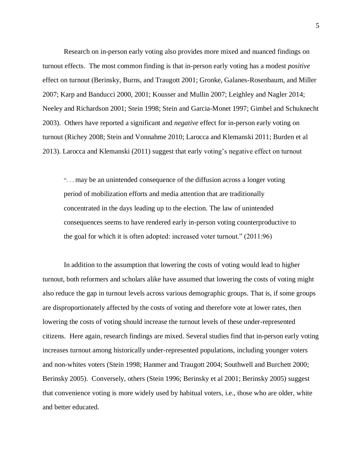Research on in-person early voting also provides more mixed and nuanced findings on turnout effects. The most common finding is that in-person early voting has a modest *positive*  effect on turnout (Berinsky, Burns, and Traugott 2001; Gronke, Galanes-Rosenbaum, and Miller 2007; Karp and Banducci 2000, 2001; Kousser and Mullin 2007; Leighley and Nagler 2014; Neeley and Richardson 2001; Stein 1998; Stein and Garcia-Monet 1997; Gimbel and Schuknecht 2003). Others have reported a significant and *negative* effect for in-person early voting on turnout (Richey 2008; Stein and Vonnahme 2010; Larocca and Klemanski 2011; Burden et al 2013). Larocca and Klemanski (2011) suggest that early voting's negative effect on turnout

". . . may be an unintended consequence of the diffusion across a longer voting period of mobilization efforts and media attention that are traditionally concentrated in the days leading up to the election. The law of unintended consequences seems to have rendered early in-person voting counterproductive to the goal for which it is often adopted: increased voter turnout." (2011:96)

In addition to the assumption that lowering the costs of voting would lead to higher turnout, both reformers and scholars alike have assumed that lowering the costs of voting might also reduce the gap in turnout levels across various demographic groups. That is, if some groups are disproportionately affected by the costs of voting and therefore vote at lower rates, then lowering the costs of voting should increase the turnout levels of these under-represented citizens. Here again, research findings are mixed. Several studies find that in-person early voting increases turnout among historically under-represented populations, including younger voters and non-whites voters (Stein 1998; Hanmer and Traugott 2004; Southwell and Burchett 2000; Berinsky 2005). Conversely, others (Stein 1996; Berinsky et al 2001; Berinsky 2005) suggest that convenience voting is more widely used by habitual voters, i.e., those who are older, white and better educated.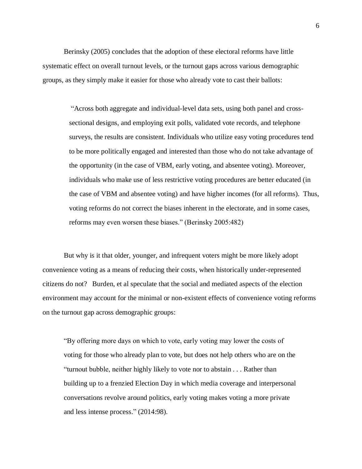Berinsky (2005) concludes that the adoption of these electoral reforms have little systematic effect on overall turnout levels, or the turnout gaps across various demographic groups, as they simply make it easier for those who already vote to cast their ballots:

> "Across both aggregate and individual-level data sets, using both panel and crosssectional designs, and employing exit polls, validated vote records, and telephone surveys, the results are consistent. Individuals who utilize easy voting procedures tend to be more politically engaged and interested than those who do not take advantage of the opportunity (in the case of VBM, early voting, and absentee voting). Moreover, individuals who make use of less restrictive voting procedures are better educated (in the case of VBM and absentee voting) and have higher incomes (for all reforms). Thus, voting reforms do not correct the biases inherent in the electorate, and in some cases, reforms may even worsen these biases." (Berinsky 2005:482)

But why is it that older, younger, and infrequent voters might be more likely adopt convenience voting as a means of reducing their costs, when historically under-represented citizens do not? Burden, et al speculate that the social and mediated aspects of the election environment may account for the minimal or non-existent effects of convenience voting reforms on the turnout gap across demographic groups:

"By offering more days on which to vote, early voting may lower the costs of voting for those who already plan to vote, but does not help others who are on the "turnout bubble, neither highly likely to vote nor to abstain . . . Rather than building up to a frenzied Election Day in which media coverage and interpersonal conversations revolve around politics, early voting makes voting a more private and less intense process." (2014:98).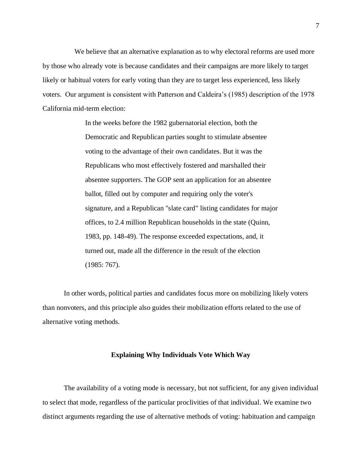We believe that an alternative explanation as to why electoral reforms are used more by those who already vote is because candidates and their campaigns are more likely to target likely or habitual voters for early voting than they are to target less experienced, less likely voters. Our argument is consistent with Patterson and Caldeira's (1985) description of the 1978 California mid-term election:

> In the weeks before the 1982 gubernatorial election, both the Democratic and Republican parties sought to stimulate absentee voting to the advantage of their own candidates. But it was the Republicans who most effectively fostered and marshalled their absentee supporters. The GOP sent an application for an absentee ballot, filled out by computer and requiring only the voter's signature, and a Republican "slate card" listing candidates for major offices, to 2.4 million Republican households in the state (Quinn, 1983, pp. 148-49). The response exceeded expectations, and, it turned out, made all the difference in the result of the election (1985: 767).

In other words, political parties and candidates focus more on mobilizing likely voters than nonvoters, and this principle also guides their mobilization efforts related to the use of alternative voting methods.

## **Explaining Why Individuals Vote Which Way**

The availability of a voting mode is necessary, but not sufficient, for any given individual to select that mode, regardless of the particular proclivities of that individual. We examine two distinct arguments regarding the use of alternative methods of voting: habituation and campaign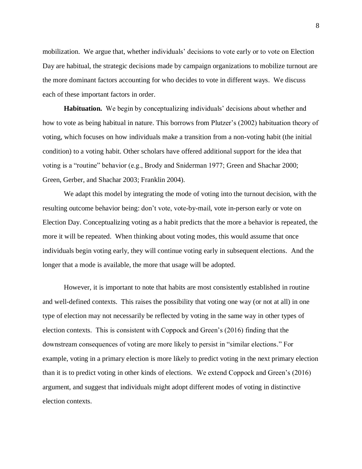mobilization. We argue that, whether individuals' decisions to vote early or to vote on Election Day are habitual, the strategic decisions made by campaign organizations to mobilize turnout are the more dominant factors accounting for who decides to vote in different ways. We discuss each of these important factors in order.

**Habituation.** We begin by conceptualizing individuals' decisions about whether and how to vote as being habitual in nature. This borrows from Plutzer's (2002) habituation theory of voting, which focuses on how individuals make a transition from a non-voting habit (the initial condition) to a voting habit. Other scholars have offered additional support for the idea that voting is a "routine" behavior (e.g., Brody and Sniderman 1977; Green and Shachar 2000; Green, Gerber, and Shachar 2003; Franklin 2004).

We adapt this model by integrating the mode of voting into the turnout decision, with the resulting outcome behavior being: don't vote, vote-by-mail, vote in-person early or vote on Election Day. Conceptualizing voting as a habit predicts that the more a behavior is repeated, the more it will be repeated. When thinking about voting modes, this would assume that once individuals begin voting early, they will continue voting early in subsequent elections. And the longer that a mode is available, the more that usage will be adopted.

However, it is important to note that habits are most consistently established in routine and well-defined contexts. This raises the possibility that voting one way (or not at all) in one type of election may not necessarily be reflected by voting in the same way in other types of election contexts. This is consistent with Coppock and Green's (2016) finding that the downstream consequences of voting are more likely to persist in "similar elections." For example, voting in a primary election is more likely to predict voting in the next primary election than it is to predict voting in other kinds of elections. We extend Coppock and Green's (2016) argument, and suggest that individuals might adopt different modes of voting in distinctive election contexts.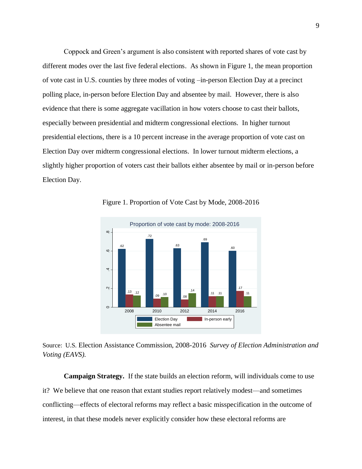Coppock and Green's argument is also consistent with reported shares of vote cast by different modes over the last five federal elections. As shown in Figure 1, the mean proportion of vote cast in U.S. counties by three modes of voting –in-person Election Day at a precinct polling place, in-person before Election Day and absentee by mail. However, there is also evidence that there is some aggregate vacillation in how voters choose to cast their ballots, especially between presidential and midterm congressional elections. In higher turnout presidential elections, there is a 10 percent increase in the average proportion of vote cast on Election Day over midterm congressional elections. In lower turnout midterm elections, a slightly higher proportion of voters cast their ballots either absentee by mail or in-person before Election Day.



Figure 1. Proportion of Vote Cast by Mode, 2008-2016

Source: U.S. Election Assistance Commission, 2008-2016 *Survey of Election Administration and Voting (EAVS).*

**Campaign Strategy.** If the state builds an election reform, will individuals come to use it? We believe that one reason that extant studies report relatively modest—and sometimes conflicting—effects of electoral reforms may reflect a basic misspecification in the outcome of interest, in that these models never explicitly consider how these electoral reforms are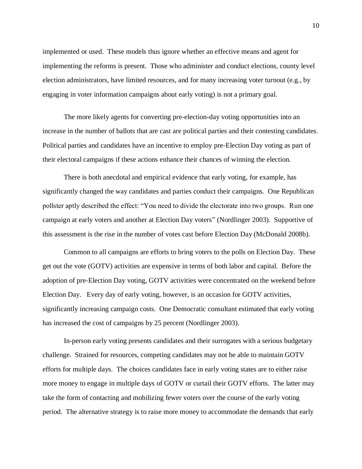implemented or used. These models thus ignore whether an effective means and agent for implementing the reforms is present. Those who administer and conduct elections, county level election administrators, have limited resources, and for many increasing voter turnout (e.g., by engaging in voter information campaigns about early voting) is not a primary goal.

The more likely agents for converting pre-election-day voting opportunities into an increase in the number of ballots that are cast are political parties and their contesting candidates. Political parties and candidates have an incentive to employ pre-Election Day voting as part of their electoral campaigns if these actions enhance their chances of winning the election.

There is both anecdotal and empirical evidence that early voting, for example, has significantly changed the way candidates and parties conduct their campaigns. One Republican pollster aptly described the effect: "You need to divide the electorate into two groups. Run one campaign at early voters and another at Election Day voters" (Nordlinger 2003). Supportive of this assessment is the rise in the number of votes cast before Election Day (McDonald 2008b).

Common to all campaigns are efforts to bring voters to the polls on Election Day. These get out the vote (GOTV) activities are expensive in terms of both labor and capital. Before the adoption of pre-Election Day voting, GOTV activities were concentrated on the weekend before Election Day. Every day of early voting, however, is an occasion for GOTV activities, significantly increasing campaign costs. One Democratic consultant estimated that early voting has increased the cost of campaigns by 25 percent (Nordlinger 2003).

In-person early voting presents candidates and their surrogates with a serious budgetary challenge. Strained for resources, competing candidates may not be able to maintain GOTV efforts for multiple days. The choices candidates face in early voting states are to either raise more money to engage in multiple days of GOTV or curtail their GOTV efforts. The latter may take the form of contacting and mobilizing fewer voters over the course of the early voting period. The alternative strategy is to raise more money to accommodate the demands that early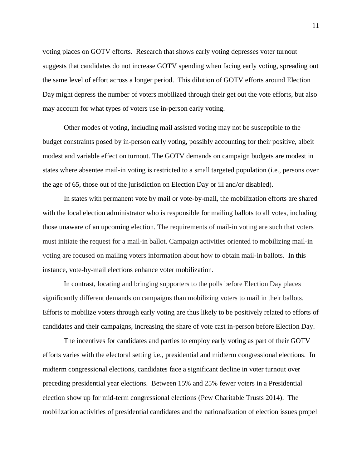voting places on GOTV efforts. Research that shows early voting depresses voter turnout suggests that candidates do not increase GOTV spending when facing early voting, spreading out the same level of effort across a longer period. This dilution of GOTV efforts around Election Day might depress the number of voters mobilized through their get out the vote efforts, but also may account for what types of voters use in-person early voting.

Other modes of voting, including mail assisted voting may not be susceptible to the budget constraints posed by in-person early voting, possibly accounting for their positive, albeit modest and variable effect on turnout. The GOTV demands on campaign budgets are modest in states where absentee mail-in voting is restricted to a small targeted population (i.e., persons over the age of 65, those out of the jurisdiction on Election Day or ill and/or disabled).

In states with permanent vote by mail or vote-by-mail, the mobilization efforts are shared with the local election administrator who is responsible for mailing ballots to all votes, including those unaware of an upcoming election. The requirements of mail-in voting are such that voters must initiate the request for a mail-in ballot. Campaign activities oriented to mobilizing mail-in voting are focused on mailing voters information about how to obtain mail-in ballots. In this instance, vote-by-mail elections enhance voter mobilization.

In contrast, locating and bringing supporters to the polls before Election Day places significantly different demands on campaigns than mobilizing voters to mail in their ballots. Efforts to mobilize voters through early voting are thus likely to be positively related to efforts of candidates and their campaigns, increasing the share of vote cast in-person before Election Day.

The incentives for candidates and parties to employ early voting as part of their GOTV efforts varies with the electoral setting i.e., presidential and midterm congressional elections. In midterm congressional elections, candidates face a significant decline in voter turnout over preceding presidential year elections. Between 15% and 25% fewer voters in a Presidential election show up for mid-term congressional elections (Pew Charitable Trusts 2014). The mobilization activities of presidential candidates and the nationalization of election issues propel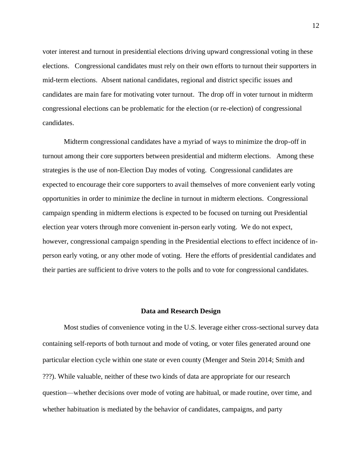voter interest and turnout in presidential elections driving upward congressional voting in these elections. Congressional candidates must rely on their own efforts to turnout their supporters in mid-term elections. Absent national candidates, regional and district specific issues and candidates are main fare for motivating voter turnout. The drop off in voter turnout in midterm congressional elections can be problematic for the election (or re-election) of congressional candidates.

Midterm congressional candidates have a myriad of ways to minimize the drop-off in turnout among their core supporters between presidential and midterm elections. Among these strategies is the use of non-Election Day modes of voting. Congressional candidates are expected to encourage their core supporters to avail themselves of more convenient early voting opportunities in order to minimize the decline in turnout in midterm elections. Congressional campaign spending in midterm elections is expected to be focused on turning out Presidential election year voters through more convenient in-person early voting. We do not expect, however, congressional campaign spending in the Presidential elections to effect incidence of inperson early voting, or any other mode of voting. Here the efforts of presidential candidates and their parties are sufficient to drive voters to the polls and to vote for congressional candidates.

#### **Data and Research Design**

Most studies of convenience voting in the U.S. leverage either cross-sectional survey data containing self-reports of both turnout and mode of voting, or voter files generated around one particular election cycle within one state or even county (Menger and Stein 2014; Smith and ???). While valuable, neither of these two kinds of data are appropriate for our research question—whether decisions over mode of voting are habitual, or made routine, over time, and whether habituation is mediated by the behavior of candidates, campaigns, and party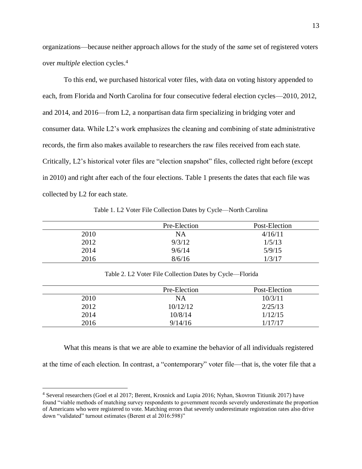organizations—because neither approach allows for the study of the *same* set of registered voters over *multiple* election cycles.<sup>4</sup>

To this end, we purchased historical voter files, with data on voting history appended to each, from Florida and North Carolina for four consecutive federal election cycles—2010, 2012, and 2014, and 2016—from L2, a nonpartisan data firm specializing in bridging voter and consumer data. While L2's work emphasizes the cleaning and combining of state administrative records, the firm also makes available to researchers the raw files received from each state. Critically, L2's historical voter files are "election snapshot" files, collected right before (except in 2010) and right after each of the four elections. Table 1 presents the dates that each file was collected by L2 for each state.

Table 1. L2 Voter File Collection Dates by Cycle—North Carolina

|      | Pre-Election | Post-Election |
|------|--------------|---------------|
| 2010 | <b>NA</b>    | 4/16/11       |
| 2012 | 9/3/12       | 1/5/13        |
| 2014 | 9/6/14       | 5/9/15        |
| 2016 | 8/6/16       | 1/3/17        |

Table 2. L2 Voter File Collection Dates by Cycle—Florida

|      | Pre-Election | Post-Election |
|------|--------------|---------------|
| 2010 | NA           | 10/3/11       |
| 2012 | 10/12/12     | 2/25/13       |
| 2014 | 10/8/14      | 1/12/15       |
| 2016 | 9/14/16      | 1/17/17       |

What this means is that we are able to examine the behavior of all individuals registered

at the time of each election. In contrast, a "contemporary" voter file—that is, the voter file that a

 $\overline{a}$ 

<sup>4</sup> Several researchers (Goel et al 2017; Berent, Krosnick and Lupia 2016; Nyhan, Skovron Titiunik 2017) have found "viable methods of matching survey respondents to government records severely underestimate the proportion of Americans who were registered to vote. Matching errors that severely underestimate registration rates also drive down "validated" turnout estimates (Berent et al 2016:598)"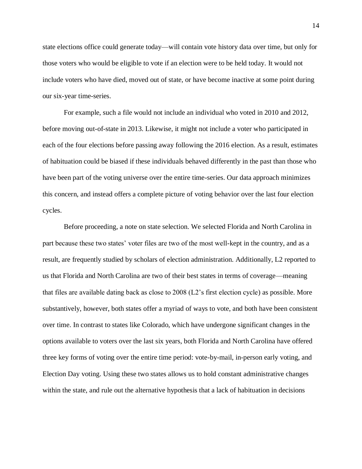state elections office could generate today—will contain vote history data over time, but only for those voters who would be eligible to vote if an election were to be held today. It would not include voters who have died, moved out of state, or have become inactive at some point during our six-year time-series.

For example, such a file would not include an individual who voted in 2010 and 2012, before moving out-of-state in 2013. Likewise, it might not include a voter who participated in each of the four elections before passing away following the 2016 election. As a result, estimates of habituation could be biased if these individuals behaved differently in the past than those who have been part of the voting universe over the entire time-series. Our data approach minimizes this concern, and instead offers a complete picture of voting behavior over the last four election cycles.

Before proceeding, a note on state selection. We selected Florida and North Carolina in part because these two states' voter files are two of the most well-kept in the country, and as a result, are frequently studied by scholars of election administration. Additionally, L2 reported to us that Florida and North Carolina are two of their best states in terms of coverage—meaning that files are available dating back as close to 2008 (L2's first election cycle) as possible. More substantively, however, both states offer a myriad of ways to vote, and both have been consistent over time. In contrast to states like Colorado, which have undergone significant changes in the options available to voters over the last six years, both Florida and North Carolina have offered three key forms of voting over the entire time period: vote-by-mail, in-person early voting, and Election Day voting. Using these two states allows us to hold constant administrative changes within the state, and rule out the alternative hypothesis that a lack of habituation in decisions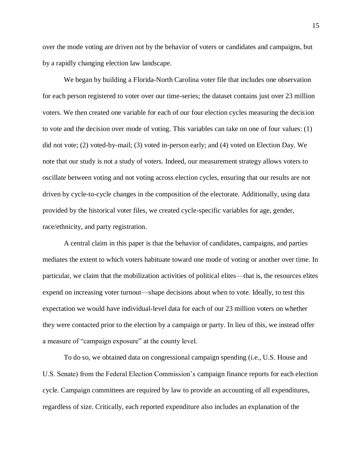over the mode voting are driven not by the behavior of voters or candidates and campaigns, but by a rapidly changing election law landscape.

We began by building a Florida-North Carolina voter file that includes one observation for each person registered to voter over our time-series; the dataset contains just over 23 million voters. We then created one variable for each of our four election cycles measuring the decision to vote and the decision over mode of voting. This variables can take on one of four values: (1) did not vote; (2) voted-by-mail; (3) voted in-person early; and (4) voted on Election Day. We note that our study is not a study of voters. Indeed, our measurement strategy allows voters to oscillate between voting and not voting across election cycles, ensuring that our results are not driven by cycle-to-cycle changes in the composition of the electorate. Additionally, using data provided by the historical voter files, we created cycle-specific variables for age, gender, race/ethnicity, and party registration.

A central claim in this paper is that the behavior of candidates, campaigns, and parties mediates the extent to which voters habituate toward one mode of voting or another over time. In particular, we claim that the mobilization activities of political elites—that is, the resources elites expend on increasing voter turnout—shape decisions about when to vote. Ideally, to test this expectation we would have individual-level data for each of our 23 million voters on whether they were contacted prior to the election by a campaign or party. In lieu of this, we instead offer a measure of "campaign exposure" at the county level.

To do so, we obtained data on congressional campaign spending (i.e., U.S. House and U.S. Senate) from the Federal Election Commission's campaign finance reports for each election cycle. Campaign committees are required by law to provide an accounting of all expenditures, regardless of size. Critically, each reported expenditure also includes an explanation of the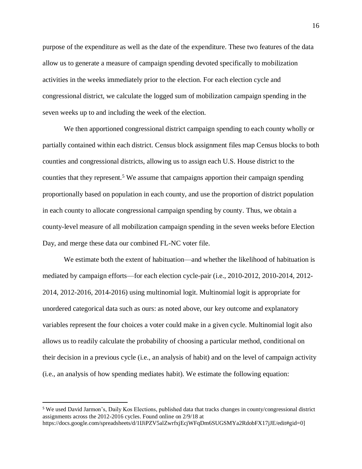purpose of the expenditure as well as the date of the expenditure. These two features of the data allow us to generate a measure of campaign spending devoted specifically to mobilization activities in the weeks immediately prior to the election. For each election cycle and congressional district, we calculate the logged sum of mobilization campaign spending in the seven weeks up to and including the week of the election.

We then apportioned congressional district campaign spending to each county wholly or partially contained within each district. Census block assignment files map Census blocks to both counties and congressional districts, allowing us to assign each U.S. House district to the counties that they represent.<sup>5</sup> We assume that campaigns apportion their campaign spending proportionally based on population in each county, and use the proportion of district population in each county to allocate congressional campaign spending by county. Thus, we obtain a county-level measure of all mobilization campaign spending in the seven weeks before Election Day, and merge these data our combined FL-NC voter file.

We estimate both the extent of habituation—and whether the likelihood of habituation is mediated by campaign efforts—for each election cycle-pair (i.e., 2010-2012, 2010-2014, 2012- 2014, 2012-2016, 2014-2016) using multinomial logit. Multinomial logit is appropriate for unordered categorical data such as ours: as noted above, our key outcome and explanatory variables represent the four choices a voter could make in a given cycle. Multinomial logit also allows us to readily calculate the probability of choosing a particular method, conditional on their decision in a previous cycle (i.e., an analysis of habit) and on the level of campaign activity (i.e., an analysis of how spending mediates habit). We estimate the following equation:

 $\overline{a}$ 

<sup>5</sup> We used David Jarmon's, Daily Kos Elections, published data that tracks changes in county/congressional district assignments across the 2012-2016 cycles. Found online on 2/9/18 at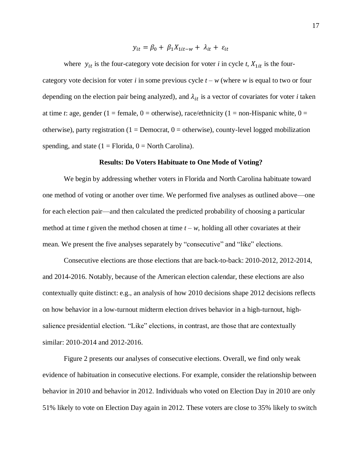$$
y_{it} = \beta_0 + \beta_1 X_{1it-w} + \lambda_{it} + \varepsilon_{it}
$$

where  $y_{it}$  is the four-category vote decision for voter *i* in cycle *t*,  $X_{1it}$  is the fourcategory vote decision for voter *i* in some previous cycle  $t - w$  (where *w* is equal to two or four depending on the election pair being analyzed), and  $\lambda_{it}$  is a vector of covariates for voter *i* taken at time *t*: age, gender (1 = female, 0 = otherwise), race/ethnicity (1 = non-Hispanic white, 0 = otherwise), party registration ( $1 =$  Democrat,  $0 =$  otherwise), county-level logged mobilization spending, and state  $(1 = Florida, 0 = North Carolina)$ .

## **Results: Do Voters Habituate to One Mode of Voting?**

We begin by addressing whether voters in Florida and North Carolina habituate toward one method of voting or another over time. We performed five analyses as outlined above—one for each election pair—and then calculated the predicted probability of choosing a particular method at time *t* given the method chosen at time  $t - w$ , holding all other covariates at their mean. We present the five analyses separately by "consecutive" and "like" elections.

Consecutive elections are those elections that are back-to-back: 2010-2012, 2012-2014, and 2014-2016. Notably, because of the American election calendar, these elections are also contextually quite distinct: e.g., an analysis of how 2010 decisions shape 2012 decisions reflects on how behavior in a low-turnout midterm election drives behavior in a high-turnout, highsalience presidential election. "Like" elections, in contrast, are those that are contextually similar: 2010-2014 and 2012-2016.

Figure 2 presents our analyses of consecutive elections. Overall, we find only weak evidence of habituation in consecutive elections. For example, consider the relationship between behavior in 2010 and behavior in 2012. Individuals who voted on Election Day in 2010 are only 51% likely to vote on Election Day again in 2012. These voters are close to 35% likely to switch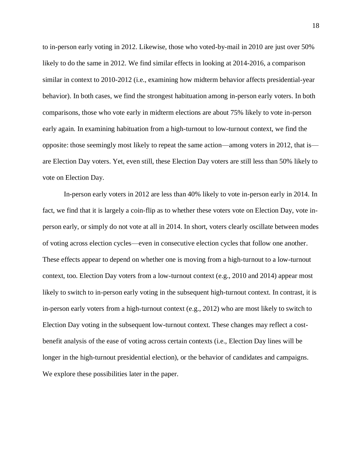to in-person early voting in 2012. Likewise, those who voted-by-mail in 2010 are just over 50% likely to do the same in 2012. We find similar effects in looking at 2014-2016, a comparison similar in context to 2010-2012 (i.e., examining how midterm behavior affects presidential-year behavior). In both cases, we find the strongest habituation among in-person early voters. In both comparisons, those who vote early in midterm elections are about 75% likely to vote in-person early again. In examining habituation from a high-turnout to low-turnout context, we find the opposite: those seemingly most likely to repeat the same action—among voters in 2012, that is are Election Day voters. Yet, even still, these Election Day voters are still less than 50% likely to vote on Election Day.

In-person early voters in 2012 are less than 40% likely to vote in-person early in 2014. In fact, we find that it is largely a coin-flip as to whether these voters vote on Election Day, vote inperson early, or simply do not vote at all in 2014. In short, voters clearly oscillate between modes of voting across election cycles—even in consecutive election cycles that follow one another. These effects appear to depend on whether one is moving from a high-turnout to a low-turnout context, too. Election Day voters from a low-turnout context (e.g., 2010 and 2014) appear most likely to switch to in-person early voting in the subsequent high-turnout context. In contrast, it is in-person early voters from a high-turnout context (e.g., 2012) who are most likely to switch to Election Day voting in the subsequent low-turnout context. These changes may reflect a costbenefit analysis of the ease of voting across certain contexts (i.e., Election Day lines will be longer in the high-turnout presidential election), or the behavior of candidates and campaigns. We explore these possibilities later in the paper.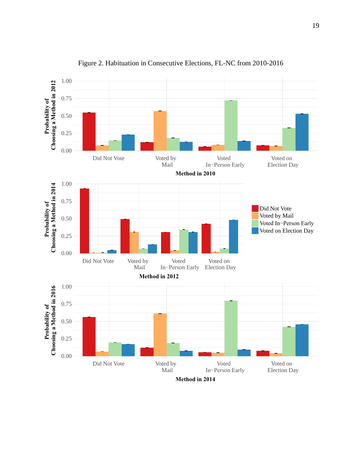

Figure 2. Habituation in Consecutive Elections, FL-NC from 2010-2016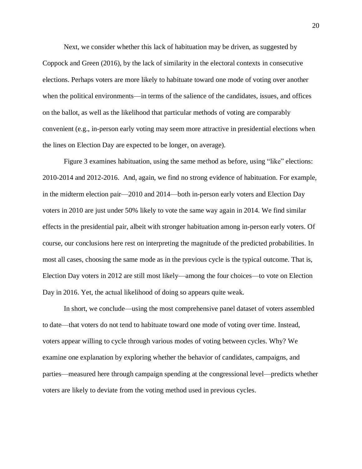Next, we consider whether this lack of habituation may be driven, as suggested by Coppock and Green (2016), by the lack of similarity in the electoral contexts in consecutive elections. Perhaps voters are more likely to habituate toward one mode of voting over another when the political environments—in terms of the salience of the candidates, issues, and offices on the ballot, as well as the likelihood that particular methods of voting are comparably convenient (e.g., in-person early voting may seem more attractive in presidential elections when the lines on Election Day are expected to be longer, on average).

Figure 3 examines habituation, using the same method as before, using "like" elections: 2010-2014 and 2012-2016. And, again, we find no strong evidence of habituation. For example, in the midterm election pair—2010 and 2014—both in-person early voters and Election Day voters in 2010 are just under 50% likely to vote the same way again in 2014. We find similar effects in the presidential pair, albeit with stronger habituation among in-person early voters. Of course, our conclusions here rest on interpreting the magnitude of the predicted probabilities. In most all cases, choosing the same mode as in the previous cycle is the typical outcome. That is, Election Day voters in 2012 are still most likely—among the four choices—to vote on Election Day in 2016. Yet, the actual likelihood of doing so appears quite weak.

In short, we conclude—using the most comprehensive panel dataset of voters assembled to date—that voters do not tend to habituate toward one mode of voting over time. Instead, voters appear willing to cycle through various modes of voting between cycles. Why? We examine one explanation by exploring whether the behavior of candidates, campaigns, and parties—measured here through campaign spending at the congressional level—predicts whether voters are likely to deviate from the voting method used in previous cycles.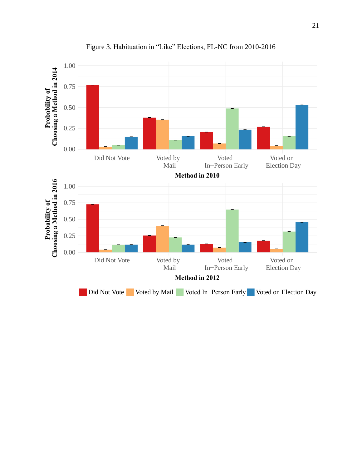![](_page_20_Figure_0.jpeg)

Figure 3. Habituation in "Like" Elections, FL-NC from 2010-2016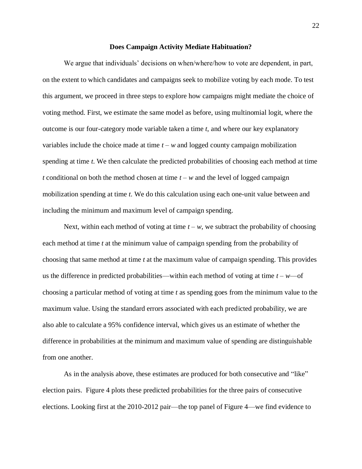#### **Does Campaign Activity Mediate Habituation?**

We argue that individuals' decisions on when/where/how to vote are dependent, in part, on the extent to which candidates and campaigns seek to mobilize voting by each mode. To test this argument, we proceed in three steps to explore how campaigns might mediate the choice of voting method. First, we estimate the same model as before, using multinomial logit, where the outcome is our four-category mode variable taken a time *t*, and where our key explanatory variables include the choice made at time  $t - w$  and logged county campaign mobilization spending at time *t*. We then calculate the predicted probabilities of choosing each method at time *t* conditional on both the method chosen at time  $t - w$  and the level of logged campaign mobilization spending at time *t*. We do this calculation using each one-unit value between and including the minimum and maximum level of campaign spending.

Next, within each method of voting at time  $t - w$ , we subtract the probability of choosing each method at time *t* at the minimum value of campaign spending from the probability of choosing that same method at time *t* at the maximum value of campaign spending. This provides us the difference in predicted probabilities—within each method of voting at time  $t - w$ —of choosing a particular method of voting at time *t* as spending goes from the minimum value to the maximum value. Using the standard errors associated with each predicted probability, we are also able to calculate a 95% confidence interval, which gives us an estimate of whether the difference in probabilities at the minimum and maximum value of spending are distinguishable from one another.

As in the analysis above, these estimates are produced for both consecutive and "like" election pairs. Figure 4 plots these predicted probabilities for the three pairs of consecutive elections. Looking first at the 2010-2012 pair—the top panel of Figure 4—we find evidence to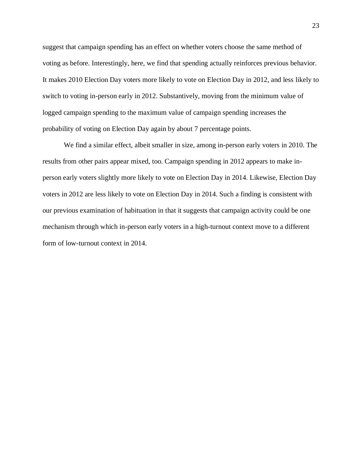suggest that campaign spending has an effect on whether voters choose the same method of voting as before. Interestingly, here, we find that spending actually reinforces previous behavior. It makes 2010 Election Day voters more likely to vote on Election Day in 2012, and less likely to switch to voting in-person early in 2012. Substantively, moving from the minimum value of logged campaign spending to the maximum value of campaign spending increases the probability of voting on Election Day again by about 7 percentage points.

We find a similar effect, albeit smaller in size, among in-person early voters in 2010. The results from other pairs appear mixed, too. Campaign spending in 2012 appears to make inperson early voters slightly more likely to vote on Election Day in 2014. Likewise, Election Day voters in 2012 are less likely to vote on Election Day in 2014. Such a finding is consistent with our previous examination of habituation in that it suggests that campaign activity could be one mechanism through which in-person early voters in a high-turnout context move to a different form of low-turnout context in 2014.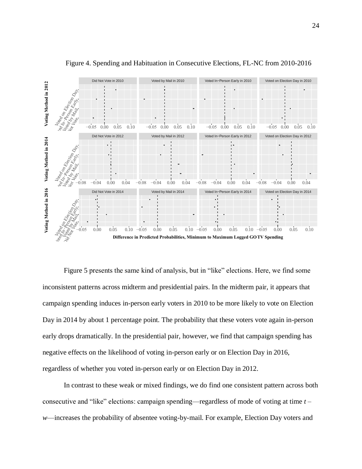![](_page_23_Figure_0.jpeg)

Figure 4. Spending and Habituation in Consecutive Elections, FL-NC from 2010-2016

Figure 5 presents the same kind of analysis, but in "like" elections. Here, we find some inconsistent patterns across midterm and presidential pairs. In the midterm pair, it appears that campaign spending induces in-person early voters in 2010 to be more likely to vote on Election Day in 2014 by about 1 percentage point. The probability that these voters vote again in-person early drops dramatically. In the presidential pair, however, we find that campaign spending has negative effects on the likelihood of voting in-person early or on Election Day in 2016, regardless of whether you voted in-person early or on Election Day in 2012.

In contrast to these weak or mixed findings, we do find one consistent pattern across both consecutive and "like" elections: campaign spending—regardless of mode of voting at time *t – w*—increases the probability of absentee voting-by-mail. For example, Election Day voters and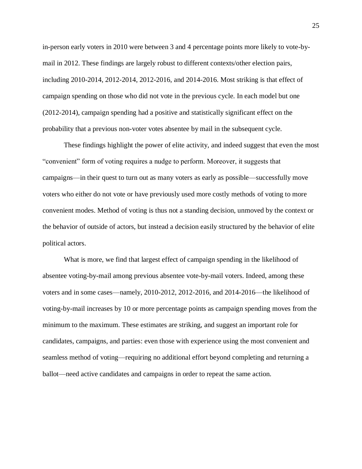in-person early voters in 2010 were between 3 and 4 percentage points more likely to vote-bymail in 2012. These findings are largely robust to different contexts/other election pairs, including 2010-2014, 2012-2014, 2012-2016, and 2014-2016. Most striking is that effect of campaign spending on those who did not vote in the previous cycle. In each model but one (2012-2014), campaign spending had a positive and statistically significant effect on the probability that a previous non-voter votes absentee by mail in the subsequent cycle.

These findings highlight the power of elite activity, and indeed suggest that even the most "convenient" form of voting requires a nudge to perform. Moreover, it suggests that campaigns—in their quest to turn out as many voters as early as possible—successfully move voters who either do not vote or have previously used more costly methods of voting to more convenient modes. Method of voting is thus not a standing decision, unmoved by the context or the behavior of outside of actors, but instead a decision easily structured by the behavior of elite political actors.

What is more, we find that largest effect of campaign spending in the likelihood of absentee voting-by-mail among previous absentee vote-by-mail voters. Indeed, among these voters and in some cases—namely, 2010-2012, 2012-2016, and 2014-2016—the likelihood of voting-by-mail increases by 10 or more percentage points as campaign spending moves from the minimum to the maximum. These estimates are striking, and suggest an important role for candidates, campaigns, and parties: even those with experience using the most convenient and seamless method of voting—requiring no additional effort beyond completing and returning a ballot—need active candidates and campaigns in order to repeat the same action.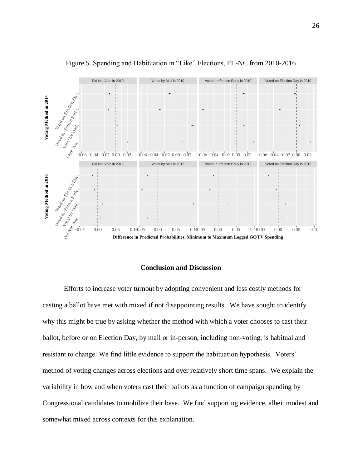![](_page_25_Figure_0.jpeg)

Figure 5. Spending and Habituation in "Like" Elections, FL-NC from 2010-2016

# **Conclusion and Discussion**

Efforts to increase voter turnout by adopting convenient and less costly methods for casting a ballot have met with mixed if not disappointing results. We have sought to identify why this might be true by asking whether the method with which a voter chooses to cast their ballot, before or on Election Day, by mail or in-person, including non-voting, is habitual and resistant to change. We find little evidence to support the habituation hypothesis. Voters' method of voting changes across elections and over relatively short time spans. We explain the variability in how and when voters cast their ballots as a function of campaign spending by Congressional candidates to mobilize their base. We find supporting evidence, albeit modest and somewhat mixed across contexts for this explanation.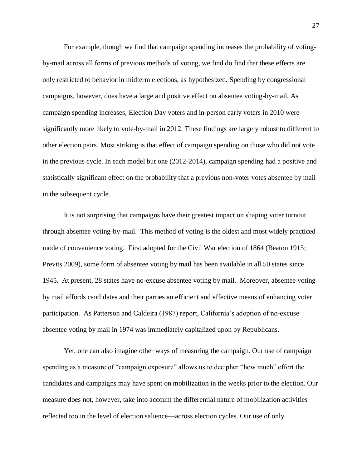For example, though we find that campaign spending increases the probability of votingby-mail across all forms of previous methods of voting, we find do find that these effects are only restricted to behavior in midterm elections, as hypothesized. Spending by congressional campaigns, however, does have a large and positive effect on absentee voting-by-mail. As campaign spending increases, Election Day voters and in-person early voters in 2010 were significantly more likely to vote-by-mail in 2012. These findings are largely robust to different to other election pairs. Most striking is that effect of campaign spending on those who did not vote in the previous cycle. In each model but one (2012-2014), campaign spending had a positive and statistically significant effect on the probability that a previous non-voter votes absentee by mail in the subsequent cycle.

It is not surprising that campaigns have their greatest impact on shaping voter turnout through absentee voting-by-mail. This method of voting is the oldest and most widely practiced mode of convenience voting. First adopted for the Civil War election of 1864 (Beaton 1915; Previts 2009), some form of absentee voting by mail has been available in all 50 states since 1945. At present, 28 states have no-excuse absentee voting by mail. Moreover, absentee voting by mail affords candidates and their parties an efficient and effective means of enhancing voter participation. As Patterson and Caldeira (1987) report, California's adoption of no-excuse absentee voting by mail in 1974 was immediately capitalized upon by Republicans.

Yet, one can also imagine other ways of measuring the campaign. Our use of campaign spending as a measure of "campaign exposure" allows us to decipher "how much" effort the candidates and campaigns may have spent on mobilization in the weeks prior to the election. Our measure does not, however, take into account the differential nature of mobilization activities reflected too in the level of election salience—across election cycles. Our use of only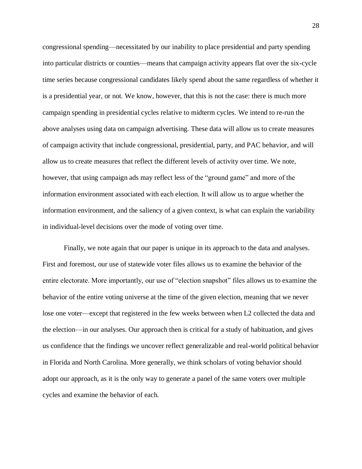congressional spending—necessitated by our inability to place presidential and party spending into particular districts or counties—means that campaign activity appears flat over the six-cycle time series because congressional candidates likely spend about the same regardless of whether it is a presidential year, or not. We know, however, that this is not the case: there is much more campaign spending in presidential cycles relative to midterm cycles. We intend to re-run the above analyses using data on campaign advertising. These data will allow us to create measures of campaign activity that include congressional, presidential, party, and PAC behavior, and will allow us to create measures that reflect the different levels of activity over time. We note, however, that using campaign ads may reflect less of the "ground game" and more of the information environment associated with each election. It will allow us to argue whether the information environment, and the saliency of a given context, is what can explain the variability in individual-level decisions over the mode of voting over time.

Finally, we note again that our paper is unique in its approach to the data and analyses. First and foremost, our use of statewide voter files allows us to examine the behavior of the entire electorate. More importantly, our use of "election snapshot" files allows us to examine the behavior of the entire voting universe at the time of the given election, meaning that we never lose one voter—except that registered in the few weeks between when L2 collected the data and the election—in our analyses. Our approach then is critical for a study of habituation, and gives us confidence that the findings we uncover reflect generalizable and real-world political behavior in Florida and North Carolina. More generally, we think scholars of voting behavior should adopt our approach, as it is the only way to generate a panel of the same voters over multiple cycles and examine the behavior of each.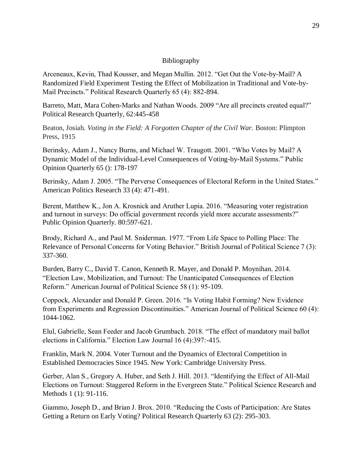## Bibliography

Arceneaux, Kevin, Thad Kousser, and Megan Mullin. 2012. "Get Out the Vote-by-Mail? A Randomized Field Experiment Testing the Effect of Mobilization in Traditional and Vote-by-Mail Precincts." Political Research Quarterly 65 (4): 882-894.

Barreto, Matt, Mara Cohen-Marks and Nathan Woods. 2009 "Are all precincts created equal?" Political Research Quarterly, 62:445-458

Beaton, Josiah. *Voting in the Field: A Forgotten Chapter of the Civil War.* Boston: Plimpton Press, 1915

Berinsky, Adam J., Nancy Burns, and Michael W. Traugott. 2001. "Who Votes by Mail? A Dynamic Model of the Individual-Level Consequences of Voting-by-Mail Systems." Public Opinion Quarterly 65 (): 178-197

Berinsky, Adam J. 2005. "The Perverse Consequences of Electoral Reform in the United States." American Politics Research 33 (4): 471-491.

Berent, Matthew K., Jon A. Krosnick and Aruther Lupia. 2016. "Measuring voter registration and turnout in surveys: Do official government records yield more accurate assessments?" Public Opinion Quarterly. 80:597-621.

Brody, Richard A., and Paul M. Sniderman. 1977. "From Life Space to Polling Place: The Relevance of Personal Concerns for Voting Behavior." British Journal of Political Science 7 (3): 337-360.

Burden, Barry C., David T. Canon, Kenneth R. Mayer, and Donald P. Moynihan. 2014. "Election Law, Mobilization, and Turnout: The Unanticipated Consequences of Election Reform." American Journal of Political Science 58 (1): 95-109.

Coppock, Alexander and Donald P. Green. 2016. "Is Voting Habit Forming? New Evidence from Experiments and Regression Discontinuities." American Journal of Political Science 60 (4): 1044-1062.

Elul, Gabrielle, Sean Feeder and Jacob Grumbach. 2018. "The effect of mandatory mail ballot elections in California." Election Law Journal 16 (4):397:-415.

Franklin, Mark N. 2004. Voter Turnout and the Dynamics of Electoral Competition in Established Democracies Since 1945. New York: Cambridge University Press.

Gerber, Alan S., Gregory A. Huber, and Seth J. Hill. 2013. "Identifying the Effect of All-Mail Elections on Turnout: Staggered Reform in the Evergreen State." Political Science Research and Methods 1 (1): 91-116.

Giammo, Joseph D., and Brian J. Brox. 2010. "Reducing the Costs of Participation: Are States Getting a Return on Early Voting? Political Research Quarterly 63 (2): 295-303.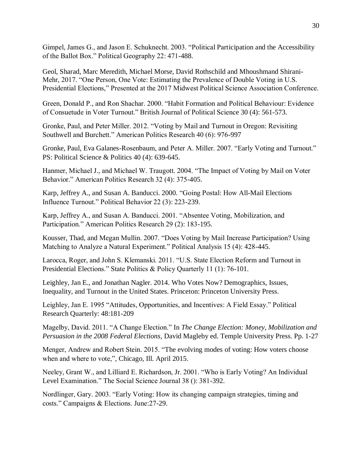Gimpel, James G., and Jason E. Schuknecht. 2003. "Political Participation and the Accessibility of the Ballot Box." Political Geography 22: 471-488.

Geol, Sharad, Marc Meredith, Michael Morse, David Rothschild and Mhoushmand Shirani-Mehr, 2017. "One Person, One Vote: Estimating the Prevalence of Double Voting in U.S. Presidential Elections," Presented at the 2017 Midwest Political Science Association Conference.

Green, Donald P., and Ron Shachar. 2000. "Habit Formation and Political Behaviour: Evidence of Consuetude in Voter Turnout." British Journal of Political Science 30 (4): 561-573.

Gronke, Paul, and Peter Miller. 2012. "Voting by Mail and Turnout in Oregon: Revisiting Southwell and Burchett." American Politics Research 40 (6): 976-997

Gronke, Paul, Eva Galanes-Rosenbaum, and Peter A. Miller. 2007. "Early Voting and Turnout." PS: Political Science & Politics 40 (4): 639-645.

Hanmer, Michael J., and Michael W. Traugott. 2004. "The Impact of Voting by Mail on Voter Behavior." American Politics Research 32 (4): 375-405.

Karp, Jeffrey A., and Susan A. Banducci. 2000. "Going Postal: How All-Mail Elections Influence Turnout." Political Behavior 22 (3): 223-239.

Karp, Jeffrey A., and Susan A. Banducci. 2001. "Absentee Voting, Mobilization, and Participation." American Politics Research 29 (2): 183-195.

Kousser, Thad, and Megan Mullin. 2007. "Does Voting by Mail Increase Participation? Using Matching to Analyze a Natural Experiment." Political Analysis 15 (4): 428-445.

Larocca, Roger, and John S. Klemanski. 2011. "U.S. State Election Reform and Turnout in Presidential Elections." State Politics & Policy Quarterly 11 (1): 76-101.

Leighley, Jan E., and Jonathan Nagler. 2014. Who Votes Now? Demographics, Issues, Inequality, and Turnout in the United States. Princeton: Princeton University Press.

Leighley, Jan E. 1995 "Attitudes, Opportunities, and Incentives: A Field Essay." Political Research Quarterly: 48:181-209

Magelby, David. 2011. "A Change Election." In *The Change Election: Money, Mobilization and Persuasion in the 2008 Federal Elections,* David Magleby ed. Temple University Press. Pp. 1-27

Menger, Andrew and Robert Stein. 2015. "The evolving modes of voting: How voters choose when and where to vote,", Chicago, Ill. April 2015.

Neeley, Grant W., and Lilliard E. Richardson, Jr. 2001. "Who is Early Voting? An Individual Level Examination." The Social Science Journal 38 (): 381-392.

Nordlinger, Gary. 2003. "Early Voting: How its changing campaign strategies, timing and costs." Campaigns & Elections. June:27-29.